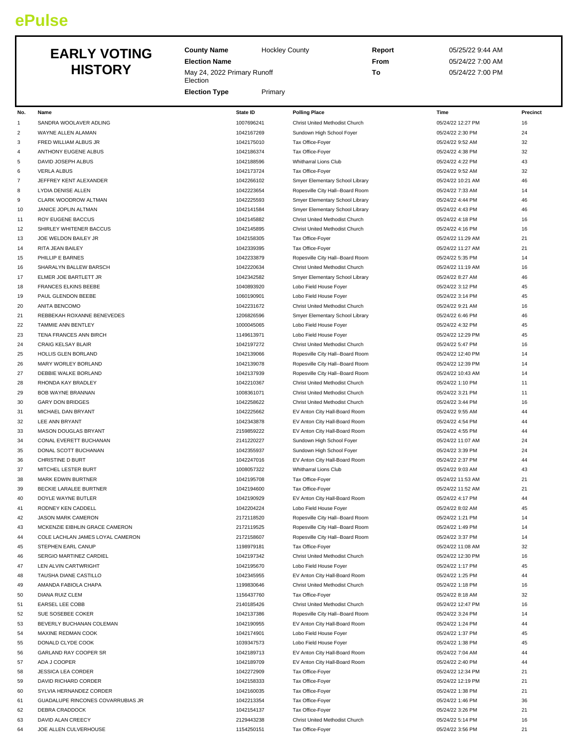# **ePulse**

## EARLY **HIS**

|                | <b>EARLY VOTING</b><br><b>HISTORY</b> | <b>County Name</b><br><b>Election Name</b><br>May 24, 2022 Primary Runoff<br>Election<br><b>Election Type</b> | Primary    | <b>Hockley County</b>            | Report<br>From<br>To | 05/25/22 9:44 AM<br>05/24/22 7:00 AM<br>05/24/22 7:00 PM |          |
|----------------|---------------------------------------|---------------------------------------------------------------------------------------------------------------|------------|----------------------------------|----------------------|----------------------------------------------------------|----------|
| No.            | Name                                  | State ID                                                                                                      |            | <b>Polling Place</b>             |                      | Time                                                     | Precinct |
| 1              | SANDRA WOOLAVER ADLING                |                                                                                                               | 1007696241 | Christ United Methodist Church   |                      | 05/24/22 12:27 PM                                        | 16       |
| $\overline{2}$ | WAYNE ALLEN ALAMAN                    |                                                                                                               | 1042167269 | Sundown High School Foyer        |                      | 05/24/22 2:30 PM                                         | 24       |
| 3              | FRED WILLIAM ALBUS JR                 |                                                                                                               | 1042175010 | Tax Office-Foyer                 |                      | 05/24/22 9:52 AM                                         | 32       |
| 4              | ANTHONY EUGENE ALBUS                  |                                                                                                               | 1042186374 | Tax Office-Foyer                 |                      | 05/24/22 4:38 PM                                         | 32       |
| 5              | DAVID JOSEPH ALBUS                    |                                                                                                               | 1042188596 | Whitharral Lions Club            |                      | 05/24/22 4:22 PM                                         | 43       |
| 6              | <b>VERLA ALBUS</b>                    |                                                                                                               | 1042173724 | Tax Office-Foyer                 |                      | 05/24/22 9:52 AM                                         | 32       |
| $\overline{7}$ | JEFFREY KENT ALEXANDER                |                                                                                                               | 1042266102 | Smyer Elementary School Library  |                      | 05/24/22 10:21 AM                                        | 46       |
| 8              | <b>LYDIA DENISE ALLEN</b>             |                                                                                                               | 1042223654 | Ropesville City Hall--Board Room |                      | 05/24/22 7:33 AM                                         | 14       |

| 3              | FRED WILLIAM ALBUS JR             | 1042175010 | Tax Office-Foyer                 | 05/24/22 9:52 AM  | 32 |
|----------------|-----------------------------------|------------|----------------------------------|-------------------|----|
| 4              | ANTHONY EUGENE ALBUS              | 1042186374 | Tax Office-Foyer                 | 05/24/22 4:38 PM  | 32 |
| 5              | DAVID JOSEPH ALBUS                | 1042188596 | Whitharral Lions Club            | 05/24/22 4:22 PM  | 43 |
| 6              | <b>VERLA ALBUS</b>                | 1042173724 | Tax Office-Foyer                 | 05/24/22 9:52 AM  | 32 |
| $\overline{7}$ | JEFFREY KENT ALEXANDER            | 1042266102 | Smyer Elementary School Library  | 05/24/22 10:21 AM | 46 |
| 8              | <b>LYDIA DENISE ALLEN</b>         | 1042223654 | Ropesville City Hall--Board Room | 05/24/22 7:33 AM  | 14 |
| 9              | CLARK WOODROW ALTMAN              | 1042225593 | Smyer Elementary School Library  | 05/24/22 4:44 PM  | 46 |
| 10             | JANICE JOPLIN ALTMAN              | 1042141584 | Smyer Elementary School Library  | 05/24/22 4:43 PM  | 46 |
| 11             | ROY EUGENE BACCUS                 | 1042145882 | Christ United Methodist Church   | 05/24/22 4:18 PM  | 16 |
| 12             | SHIRLEY WHITENER BACCUS           | 1042145895 | Christ United Methodist Church   | 05/24/22 4:16 PM  | 16 |
| 13             | JOE WELDON BAILEY JR              | 1042158305 | Tax Office-Foyer                 | 05/24/22 11:29 AM | 21 |
| 14             | RITA JEAN BAILEY                  | 1042339395 | Tax Office-Foyer                 | 05/24/22 11:27 AM | 21 |
| 15             | PHILLIP E BARNES                  | 1042233879 | Ropesville City Hall--Board Room | 05/24/22 5:35 PM  | 14 |
| 16             | SHARALYN BALLEW BARSCH            | 1042220634 | Christ United Methodist Church   | 05/24/22 11:19 AM | 16 |
| 17             | ELMER JOE BARTLETT JR             | 1042342582 | Smyer Elementary School Library  | 05/24/22 8:27 AM  | 46 |
| 18             | <b>FRANCES ELKINS BEEBE</b>       | 1040893920 | Lobo Field House Foyer           | 05/24/22 3:12 PM  | 45 |
| 19             | PAUL GLENDON BEEBE                | 1060190901 | Lobo Field House Foyer           | 05/24/22 3:14 PM  | 45 |
| 20             | ANITA BENCOMO                     | 1042231672 | Christ United Methodist Church   | 05/24/22 9:21 AM  | 16 |
| 21             | REBBEKAH ROXANNE BENEVEDES        | 1206826596 | Smyer Elementary School Library  | 05/24/22 6:46 PM  | 46 |
| 22             | TAMMIE ANN BENTLEY                | 1000045065 | Lobo Field House Foyer           | 05/24/22 4:32 PM  | 45 |
| 23             | TENA FRANCES ANN BIRCH            | 1149613971 | Lobo Field House Foyer           | 05/24/22 12:29 PM | 45 |
| 24             | <b>CRAIG KELSAY BLAIR</b>         | 1042197272 | Christ United Methodist Church   | 05/24/22 5:47 PM  | 16 |
| 25             | HOLLIS GLEN BORLAND               | 1042139066 | Ropesville City Hall--Board Room | 05/24/22 12:40 PM | 14 |
| 26             | MARY WORLEY BORLAND               | 1042139078 | Ropesville City Hall--Board Room | 05/24/22 12:39 PM | 14 |
| 27             | DEBBIE WALKE BORLAND              | 1042137939 | Ropesville City Hall--Board Room | 05/24/22 10:43 AM | 14 |
| 28             | RHONDA KAY BRADLEY                | 1042210367 | Christ United Methodist Church   | 05/24/22 1:10 PM  | 11 |
| 29             | <b>BOB WAYNE BRANNAN</b>          | 1008361071 | Christ United Methodist Church   | 05/24/22 3:21 PM  | 11 |
| 30             | <b>GARY DON BRIDGES</b>           | 1042258622 | Christ United Methodist Church   | 05/24/22 3:44 PM  | 16 |
| 31             | MICHAEL DAN BRYANT                | 1042225662 | EV Anton City Hall-Board Room    | 05/24/22 9:55 AM  | 44 |
| 32             | LEE ANN BRYANT                    | 1042343878 | EV Anton City Hall-Board Room    | 05/24/22 4:54 PM  | 44 |
| 33             | MASON DOUGLAS BRYANT              | 2159859222 | EV Anton City Hall-Board Room    | 05/24/22 4:55 PM  | 44 |
| 34             | CONAL EVERETT BUCHANAN            | 2141220227 | Sundown High School Foyer        | 05/24/22 11:07 AM | 24 |
| 35             | DONAL SCOTT BUCHANAN              | 1042355937 | Sundown High School Foyer        | 05/24/22 3:39 PM  | 24 |
| 36             | CHRISTINE D BURT                  | 1042247016 | EV Anton City Hall-Board Room    | 05/24/22 2:37 PM  | 44 |
| 37             | MITCHEL LESTER BURT               | 1008057322 | Whitharral Lions Club            | 05/24/22 9:03 AM  | 43 |
| 38             | MARK EDWIN BURTNER                | 1042195708 | Tax Office-Foyer                 | 05/24/22 11:53 AM | 21 |
| 39             | BECKIE LARALEE BURTNER            | 1042194600 | Tax Office-Foyer                 | 05/24/22 11:52 AM | 21 |
| 40             | DOYLE WAYNE BUTLER                | 1042190929 | EV Anton City Hall-Board Room    | 05/24/22 4:17 PM  | 44 |
| 41             | RODNEY KEN CADDELL                | 1042204224 | Lobo Field House Foyer           | 05/24/22 8:02 AM  | 45 |
| 42             | JASON MARK CAMERON                | 2172118520 | Ropesville City Hall--Board Room | 05/24/22 1:21 PM  | 14 |
| 43             | MCKENZIE EIBHLIN GRACE CAMERON    | 2172119525 | Ropesville City Hall--Board Room | 05/24/22 1:49 PM  | 14 |
| 44             | COLE LACHLAN JAMES LOYAL CAMERON  | 2172158607 | Ropesville City Hall--Board Room | 05/24/22 3:37 PM  | 14 |
| 45             | STEPHEN EARL CANUP                | 1198979181 | Tax Office-Fover                 | 05/24/22 11:08 AM | 32 |
| 46             | SERGIO MARTINEZ CARDIEL           | 1042197342 | Christ United Methodist Church   | 05/24/22 12:30 PM | 16 |
| 47             | LEN ALVIN CARTWRIGHT              | 1042195670 | Lobo Field House Foyer           | 05/24/22 1:17 PM  | 45 |
| 48             | <b>TAUSHA DIANE CASTILLO</b>      | 1042345955 | EV Anton City Hall-Board Room    | 05/24/22 1:25 PM  | 44 |
| 49             | AMANDA FABIOLA CHAPA              | 1199830646 | Christ United Methodist Church   | 05/24/22 1:18 PM  | 16 |
| 50             | DIANA RUIZ CLEM                   | 1156437760 | Tax Office-Foyer                 | 05/24/22 8:18 AM  | 32 |
| 51             | EARSEL LEE COBB                   | 2140185426 | Christ United Methodist Church   | 05/24/22 12:47 PM | 16 |
| 52             | SUE SOSEBEE COKER                 | 1042137386 | Ropesville City Hall--Board Room | 05/24/22 3:24 PM  | 14 |
| 53             | BEVERLY BUCHANAN COLEMAN          | 1042190955 | EV Anton City Hall-Board Room    | 05/24/22 1:24 PM  | 44 |
| 54             | MAXINE REDMAN COOK                | 1042174901 | Lobo Field House Foyer           | 05/24/22 1:37 PM  | 45 |
| 55             | DONALD CLYDE COOK                 | 1039347573 | Lobo Field House Foyer           | 05/24/22 1:38 PM  | 45 |
| 56             | GARLAND RAY COOPER SR             | 1042189713 | EV Anton City Hall-Board Room    | 05/24/22 7:04 AM  | 44 |
| 57             | ADA J COOPER                      | 1042189709 | EV Anton City Hall-Board Room    | 05/24/22 2:40 PM  | 44 |
| 58             | <b>JESSICA LEA CORDER</b>         | 1042272909 | Tax Office-Foyer                 | 05/24/22 12:34 PM | 21 |
| 59             | DAVID RICHARD CORDER              | 1042158333 | Tax Office-Foyer                 | 05/24/22 12:19 PM | 21 |
| 60             | SYLVIA HERNANDEZ CORDER           | 1042160035 | Tax Office-Foyer                 | 05/24/22 1:38 PM  | 21 |
| 61             | GUADALUPE RINCONES COVARRUBIAS JR | 1042213354 | Tax Office-Foyer                 | 05/24/22 1:46 PM  | 36 |
| 62             | DEBRA CRADDOCK                    | 1042154137 | Tax Office-Foyer                 | 05/24/22 3:26 PM  | 21 |
| 63             | DAVID ALAN CREECY                 | 2129443238 | Christ United Methodist Church   | 05/24/22 5:14 PM  | 16 |
| 64             | JOE ALLEN CULVERHOUSE             | 1154250151 | Tax Office-Foyer                 | 05/24/22 3:56 PM  | 21 |
|                |                                   |            |                                  |                   |    |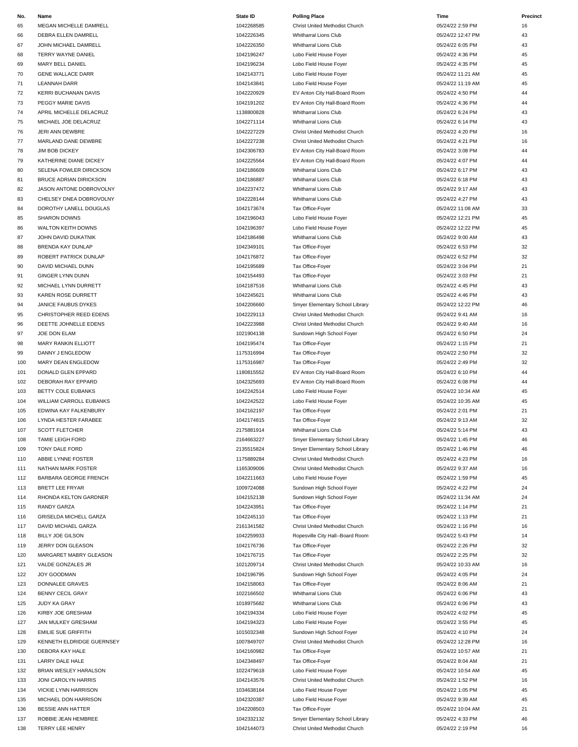| 65         | MEGAN MICHELLE DAMRELL                                   |
|------------|----------------------------------------------------------|
| 66         | DEBRA ELLEN DAMRELL                                      |
| 67         | JOHN MICHAEL DAMRELL                                     |
| 68         | <b>TERRY WAYNE DANIEL</b>                                |
| 69         | MARY BELL DANIEL                                         |
| 70         | <b>GENE WALLACE DARR</b>                                 |
| 71<br>72   | <b>LEANNAH DARR</b><br>KERRI BUCHANAN DAVIS              |
| 73         | PEGGY MARIE DAVIS                                        |
| 74         | APRIL MICHELLE DELACRUZ                                  |
| 75         | MICHAEL JOE DELACRUZ                                     |
| 76         | <b>JERI ANN DEWBRE</b>                                   |
| 77         | MARLAND DANE DEWBRE                                      |
| 78         | <b>JIM BOB DICKEY</b>                                    |
| 79         | KATHERINE DIANE DICKEY                                   |
| 80         | SELENA FOWLER DIRICKSON                                  |
| 81         | <b>BRUCE ADRIAN DIRICKSON</b><br>JASON ANTONE DOBROVOLNY |
| 82<br>83   | CHELSEY DNEA DOBROVOLNY                                  |
| 84         | DOROTHY LANELL DOUGLAS                                   |
| 85         | <b>SHARON DOWNS</b>                                      |
| 86         | <b>WALTON KEITH DOWNS</b>                                |
| 87         | JOHN DAVID DUKATNIK                                      |
| 88         | <b>BRENDA KAY DUNLAP</b>                                 |
| 89         | ROBERT PATRICK DUNLAP                                    |
| 90         | DAVID MICHAEL DUNN                                       |
| 91         | <b>GINGER LYNN DUNN</b>                                  |
| 92         | MICHAEL LYNN DURRETT                                     |
| 93<br>94   | KAREN ROSE DURRETT<br><b>JANICE FAUBUS DYKES</b>         |
| 95         | CHRISTOPHER REED EDENS                                   |
| 96         | DEETTE JOHNELLE EDENS                                    |
| 97         | JOE DON ELAM                                             |
| 98         | <b>MARY RANKIN ELLIOTT</b>                               |
| 99         | DANNY J ENGLEDOW                                         |
| 100        | MARY DEAN ENGLEDOW                                       |
| 101        | DONALD GLEN EPPARD                                       |
| 102        | DEBORAH RAY EPPARD                                       |
| 103        | BETTY COLE EUBANKS<br><b>WILLIAM CARROLL EUBANKS</b>     |
| 104<br>105 | EDWINA KAY FALKENBURY                                    |
| 106        | LYNDA HESTER FARABEE                                     |
| 107        | <b>SCOTT FLETCHER</b>                                    |
| 108        | TAMIE LEIGH FORD                                         |
| 109        | TONY DALE FORD                                           |
| 110        | ABBIE LYNNE FOSTER                                       |
| 111        | NATHAN MARK FOSTER                                       |
| 112        | BARBARA GEORGE FRENCH                                    |
| 113        | <b>BRETT LEE FRYAR</b>                                   |
| 114<br>115 | RHONDA KELTON GARDNER<br><b>RANDY GARZA</b>              |
| 116        | <b>GRISELDA MICHELL GARZA</b>                            |
| 117        | DAVID MICHAEL GARZA                                      |
| 118        | <b>BILLY JOE GILSON</b>                                  |
| 119        | JERRY DON GLEASON                                        |
| 120        | MARGARET MABRY GLEASON                                   |
| 121        | VALDE GONZALES JR                                        |
| 122        | JOY GOODMAN                                              |
| 123        | DONNALEE GRAVES                                          |
| 124<br>125 | <b>BENNY CECIL GRAY</b><br><b>JUDY KA GRAY</b>           |
| 126        | KIRBY JOE GRESHAM                                        |
| 127        | JAN MULKEY GRESHAM                                       |
| 128        | <b>EMILIE SUE GRIFFITH</b>                               |
| 129        | KENNETH ELDRIDGE GUERNSEY                                |
| 130        | <b>DEBORA KAY HALE</b>                                   |
| 131        | LARRY DALE HALE                                          |
| 132        | BRIAN WESLEY HARALSON                                    |
| 133        | JONI CAROLYN HARRIS                                      |
| 134<br>135 | <b>VICKIE LYNN HARRISON</b><br>MICHAEL DON HARRISON      |
| 136        | BESSIE ANN HATTER                                        |
| 107        | DODDIE IEAN UEMPDEE                                      |

| No. | Name                          | State ID   | <b>Polling Place</b>             | Time              | Precinct |
|-----|-------------------------------|------------|----------------------------------|-------------------|----------|
| 65  | MEGAN MICHELLE DAMRELL        | 1042268585 | Christ United Methodist Church   | 05/24/22 2:59 PM  | 16       |
| 66  | DEBRA ELLEN DAMRELL           | 1042226345 | Whitharral Lions Club            | 05/24/22 12:47 PM | 43       |
| 67  | JOHN MICHAEL DAMRELL          | 1042226350 | Whitharral Lions Club            | 05/24/22 6:05 PM  | 43       |
| 68  | TERRY WAYNE DANIEL            | 1042196247 | Lobo Field House Foyer           | 05/24/22 4:36 PM  | 45       |
| 69  | MARY BELL DANIEL              | 1042196234 | Lobo Field House Foyer           | 05/24/22 4:35 PM  | 45       |
| 70  | <b>GENE WALLACE DARR</b>      | 1042143771 | Lobo Field House Foyer           | 05/24/22 11:21 AM | 45       |
| 71  |                               | 1042143841 | Lobo Field House Foyer           | 05/24/22 11:19 AM | 45       |
|     | LEANNAH DARR                  |            |                                  |                   |          |
| 72  | KERRI BUCHANAN DAVIS          | 1042220929 | EV Anton City Hall-Board Room    | 05/24/22 4:50 PM  | 44       |
| 73  | PEGGY MARIE DAVIS             | 1042191202 | EV Anton City Hall-Board Room    | 05/24/22 4:36 PM  | 44       |
| 74  | APRIL MICHELLE DELACRUZ       | 1138800828 | Whitharral Lions Club            | 05/24/22 6:24 PM  | 43       |
| 75  | MICHAEL JOE DELACRUZ          | 1042271114 | Whitharral Lions Club            | 05/24/22 6:14 PM  | 43       |
| 76  | JERI ANN DEWBRE               | 1042227229 | Christ United Methodist Church   | 05/24/22 4:20 PM  | 16       |
| 77  | MARLAND DANE DEWBRE           | 1042227238 | Christ United Methodist Church   | 05/24/22 4:21 PM  | 16       |
| 78  | <b>JIM BOB DICKEY</b>         | 1042306783 | EV Anton City Hall-Board Room    | 05/24/22 3:08 PM  | 44       |
| 79  | KATHERINE DIANE DICKEY        | 1042225564 | EV Anton City Hall-Board Room    | 05/24/22 4:07 PM  | 44       |
| 80  | SELENA FOWLER DIRICKSON       | 1042186609 | Whitharral Lions Club            | 05/24/22 6:17 PM  | 43       |
| 81  | <b>BRUCE ADRIAN DIRICKSON</b> | 1042186887 | Whitharral Lions Club            | 05/24/22 6:18 PM  | 43       |
| 82  | JASON ANTONE DOBROVOLNY       | 1042237472 | Whitharral Lions Club            | 05/24/22 9:17 AM  | 43       |
| 83  | CHELSEY DNEA DOBROVOLNY       | 1042228144 | Whitharral Lions Club            | 05/24/22 4:27 PM  | 43       |
| 84  | DOROTHY LANELL DOUGLAS        | 1042173674 | Tax Office-Foyer                 | 05/24/22 11:08 AM | 33       |
| 85  | <b>SHARON DOWNS</b>           | 1042196043 | Lobo Field House Foyer           | 05/24/22 12:21 PM | 45       |
| 86  | <b>WALTON KEITH DOWNS</b>     | 1042196397 | Lobo Field House Foyer           | 05/24/22 12:22 PM | 45       |
|     |                               |            | Whitharral Lions Club            |                   | 43       |
| 87  | JOHN DAVID DUKATNIK           | 1042186498 |                                  | 05/24/22 9:00 AM  |          |
| 88  | <b>BRENDA KAY DUNLAP</b>      | 1042349101 | Tax Office-Foyer                 | 05/24/22 6:53 PM  | 32       |
| 89  | ROBERT PATRICK DUNLAP         | 1042176872 | Tax Office-Foyer                 | 05/24/22 6:52 PM  | 32       |
| 90  | <b>DAVID MICHAEL DUNN</b>     | 1042195689 | Tax Office-Foyer                 | 05/24/22 3:04 PM  | 21       |
| 91  | <b>GINGER LYNN DUNN</b>       | 1042154493 | Tax Office-Foyer                 | 05/24/22 3:03 PM  | 21       |
| 92  | MICHAEL LYNN DURRETT          | 1042187516 | Whitharral Lions Club            | 05/24/22 4:45 PM  | 43       |
| 93  | KAREN ROSE DURRETT            | 1042245621 | Whitharral Lions Club            | 05/24/22 4:46 PM  | 43       |
| 94  | <b>JANICE FAUBUS DYKES</b>    | 1042206660 | Smyer Elementary School Library  | 05/24/22 12:22 PM | 46       |
| 95  | CHRISTOPHER REED EDENS        | 1042229113 | Christ United Methodist Church   | 05/24/22 9:41 AM  | 16       |
| 96  | DEETTE JOHNELLE EDENS         | 1042223988 | Christ United Methodist Church   | 05/24/22 9:40 AM  | 16       |
| 97  | JOE DON ELAM                  | 1021904138 | Sundown High School Foyer        | 05/24/22 6:50 PM  | 24       |
| 98  | MARY RANKIN ELLIOTT           | 1042195474 | Tax Office-Foyer                 | 05/24/22 1:15 PM  | 21       |
| 99  | DANNY J ENGLEDOW              | 1175316994 | Tax Office-Foyer                 | 05/24/22 2:50 PM  | 32       |
| 100 | MARY DEAN ENGLEDOW            | 1175316987 | Tax Office-Foyer                 | 05/24/22 2:49 PM  | 32       |
|     | DONALD GLEN EPPARD            | 1180815552 |                                  | 05/24/22 6:10 PM  | 44       |
| 101 |                               |            | EV Anton City Hall-Board Room    |                   |          |
| 102 | DEBORAH RAY EPPARD            | 1042325693 | EV Anton City Hall-Board Room    | 05/24/22 6:08 PM  | 44       |
| 103 | BETTY COLE EUBANKS            | 1042242514 | Lobo Field House Foyer           | 05/24/22 10:34 AM | 45       |
| 104 | WILLIAM CARROLL EUBANKS       | 1042242522 | Lobo Field House Foyer           | 05/24/22 10:35 AM | 45       |
| 105 | EDWINA KAY FALKENBURY         | 1042162197 | Tax Office-Foyer                 | 05/24/22 2:01 PM  | 21       |
| 106 | LYNDA HESTER FARABEE          | 1042174815 | Tax Office-Foyer                 | 05/24/22 9:13 AM  | 32       |
| 107 | <b>SCOTT FLETCHER</b>         | 2175881914 | Whitharral Lions Club            | 05/24/22 5:14 PM  | 43       |
| 108 | <b>TAMIE LEIGH FORD</b>       | 2164663227 | Smyer Elementary School Library  | 05/24/22 1:45 PM  | 46       |
| 109 | TONY DALE FORD                | 2135515824 | Smyer Elementary School Library  | 05/24/22 1:46 PM  | 46       |
| 110 | ABBIE LYNNE FOSTER            | 1175889284 | Christ United Methodist Church   | 05/24/22 4:23 PM  | 16       |
| 111 | NATHAN MARK FOSTER            | 1165309006 | Christ United Methodist Church   | 05/24/22 9:37 AM  | 16       |
| 112 | BARBARA GEORGE FRENCH         | 1042211663 | Lobo Field House Foyer           | 05/24/22 1:59 PM  | 45       |
| 113 | BRETT LEE FRYAR               | 1009724088 | Sundown High School Foyer        | 05/24/22 4:22 PM  | 24       |
| 114 | RHONDA KELTON GARDNER         | 1042152138 | Sundown High School Foyer        | 05/24/22 11:34 AM | 24       |
| 115 | RANDY GARZA                   | 1042243951 | Tax Office-Foyer                 | 05/24/22 1:14 PM  | 21       |
| 116 | GRISELDA MICHELL GARZA        | 1042245110 | Tax Office-Foyer                 | 05/24/22 1:13 PM  | 21       |
| 117 | DAVID MICHAEL GARZA           | 2161341582 | Christ United Methodist Church   | 05/24/22 1:16 PM  | 16       |
| 118 | <b>BILLY JOE GILSON</b>       | 1042259933 | Ropesville City Hall--Board Room | 05/24/22 5:43 PM  | 14       |
|     | JERRY DON GLEASON             |            |                                  | 05/24/22 2:26 PM  | 32       |
| 119 |                               | 1042176736 | Tax Office-Foyer                 |                   |          |
| 120 | MARGARET MABRY GLEASON        | 1042176715 | Tax Office-Foyer                 | 05/24/22 2:25 PM  | 32       |
| 121 | VALDE GONZALES JR             | 1021209714 | Christ United Methodist Church   | 05/24/22 10:33 AM | 16       |
| 122 | JOY GOODMAN                   | 1042196795 | Sundown High School Foyer        | 05/24/22 4:05 PM  | 24       |
| 123 | DONNALEE GRAVES               | 1042158063 | Tax Office-Foyer                 | 05/24/22 8:06 AM  | 21       |
| 124 | <b>BENNY CECIL GRAY</b>       | 1022166502 | Whitharral Lions Club            | 05/24/22 6:06 PM  | 43       |
| 125 | JUDY KA GRAY                  | 1018975682 | Whitharral Lions Club            | 05/24/22 6:06 PM  | 43       |
| 126 | KIRBY JOE GRESHAM             | 1042194334 | Lobo Field House Foyer           | 05/24/22 4:02 PM  | 45       |
| 127 | JAN MULKEY GRESHAM            | 1042194323 | Lobo Field House Foyer           | 05/24/22 3:55 PM  | 45       |
| 128 | <b>EMILIE SUE GRIFFITH</b>    | 1015032348 | Sundown High School Foyer        | 05/24/22 4:10 PM  | 24       |
| 129 | KENNETH ELDRIDGE GUERNSEY     | 1007849707 | Christ United Methodist Church   | 05/24/22 12:28 PM | 16       |
| 130 | DEBORA KAY HALE               | 1042160982 | Tax Office-Foyer                 | 05/24/22 10:57 AM | 21       |
| 131 | LARRY DALE HALE               | 1042348497 | Tax Office-Foyer                 | 05/24/22 8:04 AM  | 21       |
| 132 | BRIAN WESLEY HARALSON         | 1022479618 | Lobo Field House Foyer           | 05/24/22 10:54 AM | 45       |
| 133 | JONI CAROLYN HARRIS           | 1042143576 | Christ United Methodist Church   | 05/24/22 1:52 PM  | 16       |
|     | <b>VICKIE LYNN HARRISON</b>   | 1034638164 | Lobo Field House Foyer           | 05/24/22 1:05 PM  | 45       |
| 134 |                               |            |                                  |                   |          |
| 135 | MICHAEL DON HARRISON          | 1042320387 | Lobo Field House Foyer           | 05/24/22 9:39 AM  | 45       |
| 136 | <b>BESSIE ANN HATTER</b>      | 1042208503 | Tax Office-Foyer                 | 05/24/22 10:04 AM | 21       |
| 137 | ROBBIE JEAN HEMBREE           | 1042332132 | Smyer Elementary School Library  | 05/24/22 4:33 PM  | 46       |
| 138 | <b>TERRY LEE HENRY</b>        | 1042144073 | Christ United Methodist Church   | 05/24/22 2:19 PM  | 16       |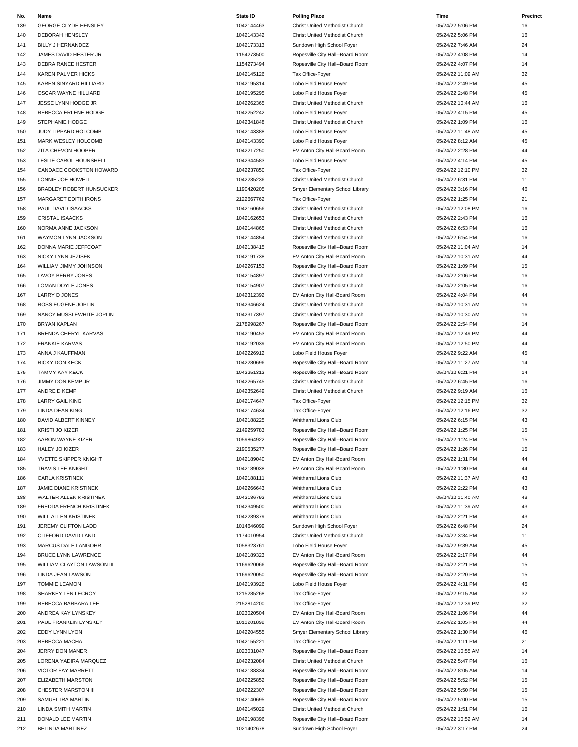GEORGE CLYDE HENSLEY 1042144463 Christ United Methodist Church 05/24/22 5:06 PM 16 DEBORAH HENSLEY 1042143342 Christ United Methodist Church 05/24/22 5:06 PM 16 BILLY J HERNANDEZ 1042173313 Sundown High School Foyer 05/24/22 7:46 AM 24 JAMES DAVID HESTER JR 1154273500 Ropesville City Hall--Board Room 05/24/22 4:08 PM 14 143 DEBRA RANEE HESTER 14 CHESTER 145 CHESTER 1154273494 Ropesville City Hall--Board Room 05/24/22 4:07 PM 14 KAREN PALMER HICKS 1042145126 Tax Office-Foyer 05/24/22 11:09 AM 32 KAREN SINYARD HILLIARD 1042195314 Lobo Field House Foyer 05/24/22 2:49 PM 45 OSCAR WAYNE HILLIARD 1042195295 Lobo Field House Foyer 05/24/22 2:48 PM 45 JESSE LYNN HODGE JR 1042262365 Christ United Methodist Church 05/24/22 10:44 AM 16 REBECCA ERLENE HODGE 1042252242 Lobo Field House Foyer 05/24/22 4:15 PM 45 1042341848 Christ United Methodist Church 05/24/22 1:09 PM 16 242341848 Christ United Methodist Church 05/24/22 1:09 PM 16 150 JUDY LIPPARD HOLCOMB 1042143388 Lobo Field House Foyer 1042143388 Lobo Field House Foyer 1992 11:48 AM 45 MARK WESLEY HOLCOMB 1042143390 Lobo Field House Foyer 05/24/22 8:12 AM 45 152 ZITA CHEVON HOOPER 1042217250 EV Anton City Hall-Board Room 05/24/22 2:28 PM 44 153 LESLIE CAROL HOUNSHELL 1042344583 1042344583 Lobo Field House Foyer 104234454 2022 4:14 PM 45 CANDACE COOKSTON HOWARD 1042237850 Tax Office-Foyer 05/24/22 12:10 PM 32 LONNIE JOE HOWELL 1042235236 Christ United Methodist Church 05/24/22 6:31 PM 11 BRADLEY ROBERT HUNSUCKER 1190420205 Smyer Elementary School Library 05/24/22 3:16 PM 46 157 MARGARET EDITH IRONS 2120067762 Tax Office-Foyer Tax Office-Foyer 21 C5/24/22 1:25 PM 21 PAUL DAVID ISAACKS 1042160656 Christ United Methodist Church 05/24/22 12:08 PM 16 159 CRISTAL ISAACKS 1042162653 Christ United Methodist Church 05/24/22 2:43 PM 16 NORMA ANNE JACKSON 1042144865 Christ United Methodist Church 05/24/22 6:53 PM 16 WAYMON LYNN JACKSON 1042144854 Christ United Methodist Church 05/24/22 6:54 PM 16 162 DONNA MARIE JEFFCOAT 1042138415 Ropesville City Hall--Board Room 05/24/22 11:04 AM 14 163 NICKY LYNN JEZISEK 1042191738 EV Anton City Hall-Board Room 05/24/22 10:31 AM 44 WILLIAM JIMMY JOHNSON 1042267153 Ropesville City Hall--Board Room 05/24/22 1:09 PM 15 LAVOY BERRY JONES 1042154897 Christ United Methodist Church 05/24/22 2:06 PM 16 LOMAN DOYLE JONES 1042154907 Christ United Methodist Church 05/24/22 2:05 PM 16 LARRY D JONES 1042312392 EV Anton City Hall-Board Room 05/24/22 4:04 PM 44 ROSS EUGENE JOPLIN 1042346624 Christ United Methodist Church 05/24/22 10:31 AM 16 NANCY MUSSLEWHITE JOPLIN 1042317397 Christ United Methodist Church 05/24/22 10:30 AM 16 BRYAN KAPLAN 2178998267 Ropesville City Hall--Board Room 05/24/22 2:54 PM 14 171 BRENDA CHERYL KARVAS 1047 1042190453 EV Anton City Hall-Board Room 05/24/22 12:49 PM 44 172 FRANKIE KARVAS 1042192039 EV Anton City Hall-Board Room 05/24/22 12:50 PM 44 173 ANNA J KAUFFMAN 1042226912 Lobo Field House Foyer Company 1042226912 174 RICKY DON KECK 1042280696 1042280696 Ropesville City Hall--Board Room 05/24/22 11:27 AM 14 175 TAMMY KAY KECK 1042251312 Ropesville City Hall--Board Room 165/24/22 6:21 PM 14 176 JIMMY DON KEMP JR 16 Christ United Methodist Church 1642265745 Christ United Methodist Church 05/24/22 6:45 PM 16 177 ANDRE D KEMP 1042352649 Christ United Methodist Church 1042352649 Christ United Methodist Church 05/24/22 9:19 AM 16 LARRY GAIL KING 1042174647 Tax Office-Foyer 05/24/22 12:15 PM 32 LINDA DEAN KING 1042174634 Tax Office-Foyer 05/24/22 12:16 PM 32 DAVID ALBERT KINNEY 1042188225 Whitharral Lions Club 05/24/22 6:15 PM 43 KRISTI JO KIZER 2149259783 Ropesville City Hall--Board Room 05/24/22 1:25 PM 15 182 AARON WAYNE KIZER **1986 1059864922** Ropesville City Hall--Board Room 05/24/22 1:24 PM 15 HALEY JO KIZER 2190535277 Ropesville City Hall--Board Room 05/24/22 1:26 PM 15 184 YVETTE SKIPPER KNIGHT **1042189040** 1042189040 EV Anton City Hall-Board Room 05/24/22 1:31 PM 44 185 TRAVIS LEE KNIGHT 1042189038 EV Anton City Hall-Board Room 05/24/22 1:30 PM 44 CARLA KRISTINEK 1042188111 Whitharral Lions Club 05/24/22 11:37 AM 43 187 JAMIE DIANE KRISTINEK 10442 1042266643 Whitharral Lions Club 1042266643 Whitharral Lions Club 05/24/22 2:22 PM 43 188 WALTER ALLEN KRISTINEK 13 | 1042186792 Whitharral Lions Club 05/24/22 11:40 AM 43 FREDDA FRENCH KRISTINEK 1042349500 Whitharral Lions Club 05/24/22 11:39 AM 43 WILL ALLEN KRISTINEK 1042239379 Whitharral Lions Club 05/24/22 2:21 PM 43 191 JEREMY CLIFTON LADD 1014646099 Sundown High School Foyer 305/24/22 6:48 PM 24 CLIFFORD DAVID LAND 1174010954 Christ United Methodist Church 05/24/22 3:34 PM 11 MARCUS DALE LANGOHR 1058323761 Lobo Field House Foyer 05/24/22 9:39 AM 45 194 BRUCE LYNN LAWRENCE 1042189323 EV Anton City Hall-Board Room 05/24/22 2:17 PM 44 195 WILLIAM CLAYTON LAWSON III 1169620066 Ropesville City Hall--Board Room 05/24/22 2:21 PM 15 LINDA JEAN LAWSON 1169620050 Ropesville City Hall--Board Room 05/24/22 2:20 PM 15 TOMMIE LEAMON 1042193926 Lobo Field House Foyer 05/24/22 4:31 PM 45 SHARKEY LEN LECROY 1215285268 Tax Office-Foyer 05/24/22 9:15 AM 32 REBECCA BARBARA LEE 2152814200 Tax Office-Foyer 05/24/22 12:39 PM 32 ANDREA KAY LYNSKEY 1023020504 EV Anton City Hall-Board Room 05/24/22 1:06 PM 44 201 PAUL FRANKLIN LYNSKEY 1013201892 EV Anton City Hall-Board Room 05/24/22 1:05 PM 44 202 EDDY LYNN LYON 104/2004555 Smyer Elementary School Library 1042204555 Smyer Elementary School Library 105/24/22 1:30 PM 46 REBECCA MACHA 1042155221 Tax Office-Foyer 05/24/22 1:11 PM 21 JERRY DON MANER 1023031047 Ropesville City Hall--Board Room 05/24/22 10:55 AM 14 LORENA YADIRA MARQUEZ 1042232084 Christ United Methodist Church 05/24/22 5:47 PM 16 206 VICTOR FAY MARRETT THE SAME SALL ASSEMBLY A SAME AND A 2042138334 Ropesville City Hall--Board Room 05/24/22 8:05 AM 14 ELIZABETH MARSTON 1042225852 Ropesville City Hall--Board Room 05/24/22 5:52 PM 15 208 CHESTER MARSTON III 10 1042222307 Ropesville City Hall--Board Room 05/24/22 5:50 PM 15 SAMUEL IRA MARTIN 1042140695 Ropesville City Hall--Board Room 05/24/22 5:00 PM 15 LINDA SMITH MARTIN 1042145029 Christ United Methodist Church 05/24/22 1:51 PM 16 **No. Name State ID Polling Place Time Precinct**

|  | <b>Polling Play</b> |  |
|--|---------------------|--|

211 DONALD LEE MARTIN 14 2012 1042198396 Ropesville City Hall--Board Room 05/24/22 10:52 AM 14 212 BELINDA MARTINEZ 24 24 CHA MARTINEZ 24 SUNDA 1021402678 Sundown High School Foyer 26 CH2H22 3:17 PM 24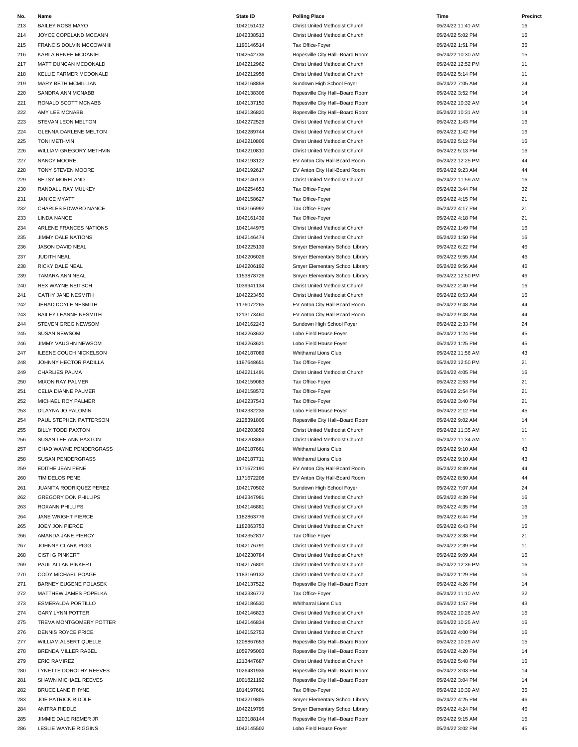| 213        | <b>BAILEY ROSS MAYO</b>       | 1042151412 | Christ United Methodist Church   | 05/24/22 11:41 AM | 16 |
|------------|-------------------------------|------------|----------------------------------|-------------------|----|
|            |                               |            |                                  |                   |    |
| 214        | JOYCE COPELAND MCCANN         | 1042338513 | Christ United Methodist Church   | 05/24/22 5:02 PM  | 16 |
| 215        | FRANCIS DOLVIN MCCOWN III     | 1190146514 | Tax Office-Foyer                 | 05/24/22 1:51 PM  | 36 |
| 216        | KARLA RENEE MCDANIEL          | 1042542736 | Ropesville City Hall--Board Room | 05/24/22 10:30 AM | 15 |
| 217        | MATT DUNCAN MCDONALD          | 1042212962 | Christ United Methodist Church   | 05/24/22 12:52 PM | 11 |
| 218        | KELLIE FARMER MCDONALD        | 1042212958 | Christ United Methodist Church   | 05/24/22 5:14 PM  | 11 |
|            |                               |            |                                  |                   |    |
| 219        | MARY BETH MCMILLIAN           | 1042168858 | Sundown High School Foyer        | 05/24/22 7:05 AM  | 24 |
| 220        | SANDRA ANN MCNABB             | 1042138306 | Ropesville City Hall--Board Room | 05/24/22 3:52 PM  | 14 |
| 221        | RONALD SCOTT MCNABB           | 1042137150 | Ropesville City Hall--Board Room | 05/24/22 10:32 AM | 14 |
| 222        | AMY LEE MCNABB                | 1042136820 | Ropesville City Hall--Board Room | 05/24/22 10:31 AM | 14 |
| 223        | STEVAN LEON MELTON            | 1042272529 | Christ United Methodist Church   | 05/24/22 1:43 PM  | 16 |
|            |                               |            |                                  |                   |    |
| 224        | <b>GLENNA DARLENE MELTON</b>  | 1042289744 | Christ United Methodist Church   | 05/24/22 1:42 PM  | 16 |
| 225        | <b>TONI METHVIN</b>           | 1042210806 | Christ United Methodist Church   | 05/24/22 5:12 PM  | 16 |
| 226        | WILLIAM GREGORY METHVIN       | 1042210810 | Christ United Methodist Church   | 05/24/22 5:13 PM  | 16 |
| 227        | NANCY MOORE                   | 1042193122 | EV Anton City Hall-Board Room    | 05/24/22 12:25 PM | 44 |
| 228        | TONY STEVEN MOORE             | 1042192617 | EV Anton City Hall-Board Room    | 05/24/22 9:23 AM  | 44 |
|            |                               |            |                                  |                   |    |
| 229        | <b>BETSY MORELAND</b>         | 1042146173 | Christ United Methodist Church   | 05/24/22 11:59 AM | 16 |
| 230        | RANDALL RAY MULKEY            | 1042254653 | Tax Office-Foyer                 | 05/24/22 3:44 PM  | 32 |
| 231        | <b>JANICE MYATT</b>           | 1042158627 | Tax Office-Foyer                 | 05/24/22 4:15 PM  | 21 |
| 232        | CHARLES EDWARD NANCE          | 1042166992 | Tax Office-Foyer                 | 05/24/22 4:17 PM  | 21 |
| 233        | <b>LINDA NANCE</b>            | 1042161439 | Tax Office-Foyer                 | 05/24/22 4:18 PM  | 21 |
|            | ARLENE FRANCES NATIONS        | 1042144975 |                                  | 05/24/22 1:49 PM  | 16 |
| 234        |                               |            | Christ United Methodist Church   |                   |    |
| 235        | JIMMY DALE NATIONS            | 1042146474 | Christ United Methodist Church   | 05/24/22 1:50 PM  | 16 |
| 236        | JASON DAVID NEAL              | 1042225139 | Smyer Elementary School Library  | 05/24/22 6:22 PM  | 46 |
| 237        | JUDITH NEAL                   | 1042206026 | Smyer Elementary School Library  | 05/24/22 9:55 AM  | 46 |
| 238        | RICKY DALE NEAL               | 1042206192 | Smyer Elementary School Library  | 05/24/22 9:56 AM  | 46 |
|            | <b>TAMARA ANN NEAL</b>        | 1153878726 |                                  | 05/24/22 12:50 PM | 46 |
| 239        |                               |            | Smyer Elementary School Library  |                   |    |
| 240        | <b>REX WAYNE NEITSCH</b>      | 1039941134 | Christ United Methodist Church   | 05/24/22 2:40 PM  | 16 |
| 241        | CATHY JANE NESMITH            | 1042223450 | Christ United Methodist Church   | 05/24/22 8:53 AM  | 16 |
| 242        | JERAD DOYLE NESMITH           | 1176072265 | EV Anton City Hall-Board Room    | 05/24/22 9:48 AM  | 44 |
| 243        | <b>BAILEY LEANNE NESMITH</b>  | 1213173460 | EV Anton City Hall-Board Room    | 05/24/22 9:48 AM  | 44 |
| 244        | STEVEN GREG NEWSOM            | 1042162243 | Sundown High School Foyer        | 05/24/22 2:33 PM  | 24 |
|            |                               |            |                                  |                   |    |
| 245        | <b>SUSAN NEWSOM</b>           | 1042263632 | Lobo Field House Foyer           | 05/24/22 1:24 PM  | 45 |
| 246        | <b>JIMMY VAUGHN NEWSOM</b>    | 1042263621 | Lobo Field House Foyer           | 05/24/22 1:25 PM  | 45 |
| 247        | <b>ILEENE COUCH NICKELSON</b> | 1042187089 | Whitharral Lions Club            | 05/24/22 11:56 AM | 43 |
| 248        | JOHNNY HECTOR PADILLA         | 1197648651 | Tax Office-Foyer                 | 05/24/22 12:50 PM | 21 |
| 249        | CHARLIES PALMA                | 1042211491 | Christ United Methodist Church   | 05/24/22 4:05 PM  | 16 |
|            |                               |            |                                  |                   |    |
| 250        | <b>MIXON RAY PALMER</b>       | 1042159083 | Tax Office-Foyer                 | 05/24/22 2:53 PM  | 21 |
| 251        | CELIA DIANNE PALMER           | 1042158572 | Tax Office-Foyer                 | 05/24/22 2:54 PM  | 21 |
| 252        | MICHAEL ROY PALMER            | 1042237543 | Tax Office-Foyer                 | 05/24/22 3:40 PM  | 21 |
| 253        | D'LAYNA JO PALOMIN            | 1042332236 | Lobo Field House Foyer           | 05/24/22 2:12 PM  | 45 |
| 254        | PAUL STEPHEN PATTERSON        | 2128391806 | Ropesville City Hall--Board Room | 05/24/22 9:02 AM  | 14 |
|            | <b>BILLY TODD PAXTON</b>      | 1042203859 |                                  | 05/24/22 11:35 AM |    |
| 255        |                               |            | Christ United Methodist Church   |                   | 11 |
| 256        | SUSAN LEE ANN PAXTON          | 1042203863 | Christ United Methodist Church   | 05/24/22 11:34 AM | 11 |
| 257        | CHAD WAYNE PENDERGRASS        | 1042187661 | <b>Whitharral Lions Club</b>     | 05/24/22 9:10 AM  | 43 |
| 258        | <b>SUSAN PENDERGRASS</b>      | 1042187711 | Whitharral Lions Club            | 05/24/22 9:10 AM  | 43 |
| 259        | EDITHE JEAN PENE              | 1171672190 | EV Anton City Hall-Board Room    | 05/24/22 8:49 AM  | 44 |
| 260        | TIM DELOS PENE                | 1171672208 | EV Anton City Hall-Board Room    | 05/24/22 8:50 AM  | 44 |
|            |                               |            |                                  |                   |    |
| 261        | JUANITA RODRIQUEZ PEREZ       | 1042170502 | Sundown High School Foyer        | 05/24/22 7:07 AM  | 24 |
| 262        | <b>GREGORY DON PHILLIPS</b>   | 1042347981 | Christ United Methodist Church   | 05/24/22 4:39 PM  | 16 |
| 263        | <b>ROXANN PHILLIPS</b>        | 1042146881 | Christ United Methodist Church   | 05/24/22 4:35 PM  | 16 |
| 264        | JANE WRIGHT PIERCE            |            |                                  |                   |    |
| 265        |                               | 1182863776 | Christ United Methodist Church   | 05/24/22 6:44 PM  | 16 |
|            | JOEY JON PIERCE               | 1182863753 | Christ United Methodist Church   | 05/24/22 6:43 PM  | 16 |
|            |                               |            |                                  |                   |    |
| 266        | AMANDA JANE PIERCY            | 1042352817 | Tax Office-Foyer                 | 05/24/22 3:38 PM  | 21 |
| 267        | JOHNNY CLARK PIGG             | 1042176791 | Christ United Methodist Church   | 05/24/22 2:39 PM  | 11 |
| 268        | <b>CISTI G PINKERT</b>        | 1042230784 | Christ United Methodist Church   | 05/24/22 9:09 AM  | 16 |
| 269        | PAUL ALLAN PINKERT            | 1042176801 | Christ United Methodist Church   | 05/24/22 12:36 PM | 16 |
|            |                               |            |                                  |                   |    |
| 270        | CODY MICHAEL POAGE            | 1183169132 | Christ United Methodist Church   | 05/24/22 1:29 PM  | 16 |
| 271        | <b>BARNEY EUGENE POLASEK</b>  | 1042137522 | Ropesville City Hall--Board Room | 05/24/22 4:26 PM  | 14 |
| 272        | MATTHEW JAMES POPELKA         | 1042336772 | Tax Office-Foyer                 | 05/24/22 11:10 AM | 32 |
|            | <b>ESMERALDA PORTILLO</b>     | 1042186530 | Whitharral Lions Club            | 05/24/22 1:57 PM  | 43 |
| 273<br>274 | <b>GARY LYNN POTTER</b>       | 1042146823 | Christ United Methodist Church   | 05/24/22 10:26 AM | 16 |
| 275        | TREVA MONTGOMERY POTTER       | 1042146834 | Christ United Methodist Church   | 05/24/22 10:25 AM | 16 |
|            |                               |            |                                  |                   |    |
| 276        | DENNIS ROYCE PRICE            | 1042152753 | Christ United Methodist Church   | 05/24/22 4:00 PM  | 16 |
| 277        | WILLIAM ALBERT QUELLE         | 1208867653 | Ropesville City Hall--Board Room | 05/24/22 10:29 AM | 15 |
| 278        | BRENDA MILLER RABEL           | 1059795003 | Ropesville City Hall--Board Room | 05/24/22 4:20 PM  | 14 |
| 279        | <b>ERIC RAMIREZ</b>           | 1213447687 | Christ United Methodist Church   | 05/24/22 5:48 PM  | 16 |
| 280        | LYNETTE DOROTHY REEVES        | 1026431936 | Ropesville City Hall--Board Room | 05/24/22 3:03 PM  | 14 |
| 281        | SHAWN MICHAEL REEVES          | 1001821192 | Ropesville City Hall--Board Room | 05/24/22 3:04 PM  | 14 |
|            |                               |            |                                  |                   |    |
| 282        | BRUCE LANE RHYNE              | 1014197661 | Tax Office-Foyer                 | 05/24/22 10:39 AM | 36 |
| 283        | <b>JOE PATRICK RIDDLE</b>     | 1042219805 | Smyer Elementary School Library  | 05/24/22 4:25 PM  | 46 |
| 284        | ANITRA RIDDLE                 | 1042219795 | Smyer Elementary School Library  | 05/24/22 4:24 PM  | 46 |
| 285        | JIMMIE DALE RIEMER JR         | 1203188144 | Ropesville City Hall--Board Room | 05/24/22 9:15 AM  | 15 |
| 286        | <b>LESLIE WAYNE RIGGINS</b>   | 1042145502 | Lobo Field House Foyer           | 05/24/22 3:02 PM  | 45 |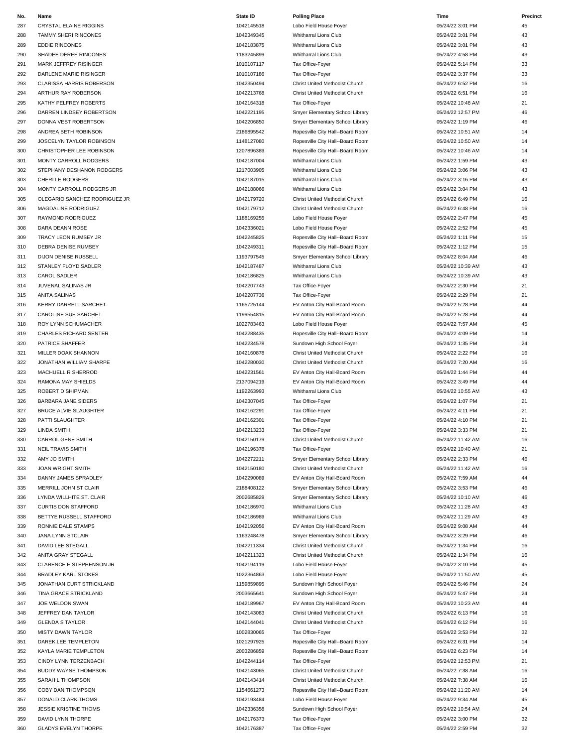### 287 CRYSTAL ELAINE RIGGINS CONSULTED ASSAULT AND TRANSLATED ASSAULT AND MALL TO A 2142145518 Lobo Field House Fover Consulting the CONSULTED ASSAULT ASSAULT ASSAULT ASSAULT ASSAULT ASSAULT ASSAULT ASSAULT ASSAULT ASSAULT A TAMMY SHERI RINCONES 1042349345 Whitharral Lions Club 05/24/22 3:01 PM 43 289 EDDIE RINCONES 2012 1042183875 Whitharral Lions Club 2040 1042183875 Whitharral Lions Club 05/24/22 3:01 PM 43 SHADEE DEREE RINCONES 1183245899 Whitharral Lions Club 05/24/22 4:58 PM 43 MARK JEFFREY RISINGER 1010107117 Tax Office-Foyer 05/24/22 5:14 PM 33 DARLENE MARIE RISINGER 1010107186 Tax Office-Foyer 05/24/22 3:37 PM 33 293 CLARISSA HARRIS ROBERSON 16 16 Christ United Methodist Church Christ United Methodist Church 05/24/22 6:52 PM 16 294 ARTHUR RAY ROBERSON 1042213768 Christ United Methodist Church 05/24/22 6:51 PM 16 KATHY PELFREY ROBERTS 1042164318 Tax Office-Foyer 05/24/22 10:48 AM 21 DARREN LINDSEY ROBERTSON 1042221195 Smyer Elementary School Library 05/24/22 12:57 PM 46 297 DONNA VEST ROBERTSON 104 1042206850 Smyer Elementary School Library 1042206850 Smyer Elementary School Library ANDREA BETH ROBINSON 2186895542 Ropesville City Hall--Board Room 05/24/22 10:51 AM 14 JOSCELYN TAYLOR ROBINSON 1148127080 Ropesville City Hall--Board Room 05/24/22 10:50 AM 14 CHRISTOPHER LEE ROBINSON 1207896389 Ropesville City Hall--Board Room 05/24/22 10:46 AM 14 301 MONTY CARROLL RODGERS 1042187004 1042187004 Whitharral Lions Club 05/24/22 1:59 PM 43 STEPHANY DESHANON RODGERS 1217003905 Whitharral Lions Club 05/24/22 3:06 PM 43 303 CHERI LE RODGERS 2:16 PM 43 MONTY CARROLL RODGERS JR 1042188066 Whitharral Lions Club 05/24/22 3:04 PM 43 OLEGARIO SANCHEZ RODRIGUEZ JR 1042179720 Christ United Methodist Church 05/24/22 6:49 PM 16 306 MAGDALINE RODRIGUEZ 1042179712 Christ United Methodist Church 05/24/22 6:48 PM 16 RAYMOND RODRIGUEZ 1188169255 Lobo Field House Foyer 05/24/22 2:47 PM 45 DARA DEANN ROSE 1042336021 Lobo Field House Foyer 05/24/22 2:52 PM 45 TRACY LEON RUMSEY JR 1042245825 Ropesville City Hall--Board Room 05/24/22 1:11 PM 15 DEBRA DENISE RUMSEY 1042249311 Ropesville City Hall--Board Room 05/24/22 1:12 PM 15 311 DIJON DENISE RUSSELL **1193797545** Smyer Elementary School Library 1193797545 Smyer Elementary School Library 312 STANLEY FLOYD SADLER 1042187 1042187487 Whitharral Lions Club 1042187487 Whitharral Lions Club 05/24/22 10:39 AM 43 313 CAROL SADLER 2012 20:39 AM 43 JUVENAL SALINAS JR 1042207743 Tax Office-Foyer 05/24/22 2:30 PM 21 ANITA SALINAS 1042207736 Tax Office-Foyer 05/24/22 2:29 PM 21 KERRY DARRELL SARCHET 1165725144 EV Anton City Hall-Board Room 05/24/22 5:28 PM 44 317 CAROLINE SUE SARCHET **1199554815** EV Anton City Hall-Board Room **1199554816** events and the Computer of the Computer of the Computer of the Computer of the Computer of the Computer of the Computer of the Computer of th ROY LYNN SCHUMACHER 1022783463 Lobo Field House Foyer 05/24/22 7:57 AM 45 319 CHARLES RICHARD SENTER 14 CHARLES RICHARD SENTER 1042288435 1042288435 Ropesville City Hall--Board Room 05/24/22 4:09 PM 14 320 PATRICE SHAFFER **1042234578** Sundown High School Foyer 304224578 Sundown High School Foyer 05/24/22 1:35 PM 24 MILLER DOAK SHANNON 1042160878 Christ United Methodist Church 05/24/22 2:22 PM 16 322 JONATHAN WILLIAM SHARPE 1042280030 1042280030 Christ United Methodist Church 05/24/22 7:20 AM 16 MACHUELL R SHERROD 1042231561 EV Anton City Hall-Board Room 05/24/22 1:44 PM 44 RAMONA MAY SHIELDS 2137094219 EV Anton City Hall-Board Room 05/24/22 3:49 PM 44 ROBERT D SHIPMAN 1192263993 Whitharral Lions Club 05/24/22 10:55 AM 43 326 BARBARA JANE SIDERS 21 20 1042307045 Tax Office-Foyer 1042307045 Tax Office-Foyer 21 327 BRUCE ALVIE SLAUGHTER **104216291** 1042162291 Tax Office-Foyer **1042162291** Tax Office-Foyer 105/24/22 4:11 PM 21 PATTI SLAUGHTER 1042162301 Tax Office-Foyer 05/24/22 4:10 PM 21 LINDA SMITH 1042213233 Tax Office-Foyer 05/24/22 3:33 PM 21 330 CARROL GENE SMITH 16 16 CHRIST 1042150179 Christ United Methodist Church 105/24/22 11:42 AM 16 331 NEIL TRAVIS SMITH 1042196378 Tax Office-Foyer 21 AMY JO SMITH 1042272211 Smyer Elementary School Library 05/24/22 2:33 PM 46 333 JOAN WRIGHT SMITH 1042150180 Christ United Methodist Church 1042150180 Christ United Methodist Church 05/24/22 11:42 AM 16 334 DANNY JAMES SPRADLEY **1042290089** EV Anton City Hall-Board Room 05/24/22 7:59 AM 44 MERRILL JOHN ST CLAIR 2188408122 Smyer Elementary School Library 05/24/22 3:53 PM 46 336 LYNDA WILLHITE ST. CLAIR CHAIR 2002685829 Smyer Elementary School Library Chair 2002685829 Smyer Elementary School Library Chair 2002685829 O5/24/22 10:10 AM 46 CURTIS DON STAFFORD 1042186970 Whitharral Lions Club 05/24/22 11:28 AM 43 BETTYE RUSSELL STAFFORD 1042186989 Whitharral Lions Club 05/24/22 11:29 AM 43 RONNIE DALE STAMPS 1042192056 EV Anton City Hall-Board Room 05/24/22 9:08 AM 44 JANA LYNN STCLAIR 1163248478 Smyer Elementary School Library 05/24/22 3:29 PM 46 341 DAVID LEE STEGALL 1042211334 Christ United Methodist Church 1042211334 Christ United Methodist Church 05/24/22 1:34 PM 16 ANITA GRAY STEGALL 1042211323 Christ United Methodist Church 05/24/22 1:34 PM 16 CLARENCE E STEPHENSON JR 1042194119 Lobo Field House Foyer 05/24/22 3:10 PM 45 344 BRADLEY KARL STOKES NO SAN SERVERS AND SAN SERVERSE 1022364863 Lobo Field House Foyer CHA 1022364863 AM 45 JONATHAN CURT STRICKLAND 1159859895 Sundown High School Foyer 05/24/22 5:46 PM 24 TINA GRACE STRICKLAND 2003665641 Sundown High School Foyer 05/24/22 5:47 PM 24 347 JOE WELDON SWAN 1042189967 EV Anton City Hall-Board Room 1042189967 CV Anton City Hall-Board Room 05/24/22 10:23 AM 44 JEFFREY DAN TAYLOR 1042143083 Christ United Methodist Church 05/24/22 6:13 PM 16 349 GLENDA S TAYLOR 16 Christ United Methodist Church Christ United Methodist Church 05/24/22 6:12 PM 16 350 MISTY DAWN TAYLOR 1002830065 Tax Office-Foyer 32 DAREK LEE TEMPLETON 1021297925 Ropesville City Hall--Board Room 05/24/22 6:31 PM 14 KAYLA MARIE TEMPLETON 2003286859 Ropesville City Hall--Board Room 05/24/22 6:23 PM 14 CINDY LYNN TERZENBACH 1042244114 Tax Office-Foyer 05/24/22 12:53 PM 21 BUDDY WAYNE THOMPSON 1042143065 Christ United Methodist Church 05/24/22 7:38 AM 16 SARAH L THOMPSON 1042143414 Christ United Methodist Church 05/24/22 7:38 AM 16 COBY DAN THOMPSON 1154661273 Ropesville City Hall--Board Room 05/24/22 11:20 AM 14 DONALD CLARK THOMS 1042193484 Lobo Field House Foyer 05/24/22 9:34 AM 45 JESSIE KRISTINE THOMS 1042336358 Sundown High School Foyer 05/24/22 10:54 AM 24 DAVID LYNN THORPE 1042176373 Tax Office-Foyer 05/24/22 3:00 PM 32 GLADYS EVELYN THORPE 1042176387 Tax Office-Foyer 05/24/22 2:59 PM 32 **No. Name State ID Polling Place Time Precinct**